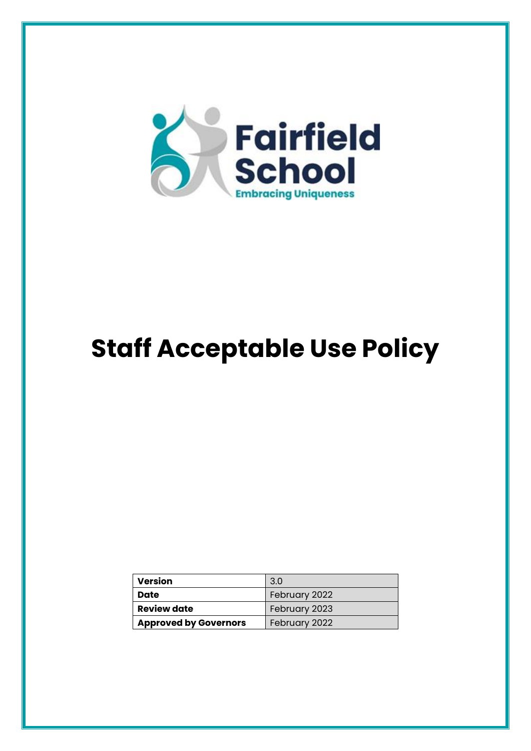

# **Staff Acceptable Use Policy**

| <b>Version</b>               | 3.0           |
|------------------------------|---------------|
| Date                         | February 2022 |
| <b>Review date</b>           | February 2023 |
| <b>Approved by Governors</b> | February 2022 |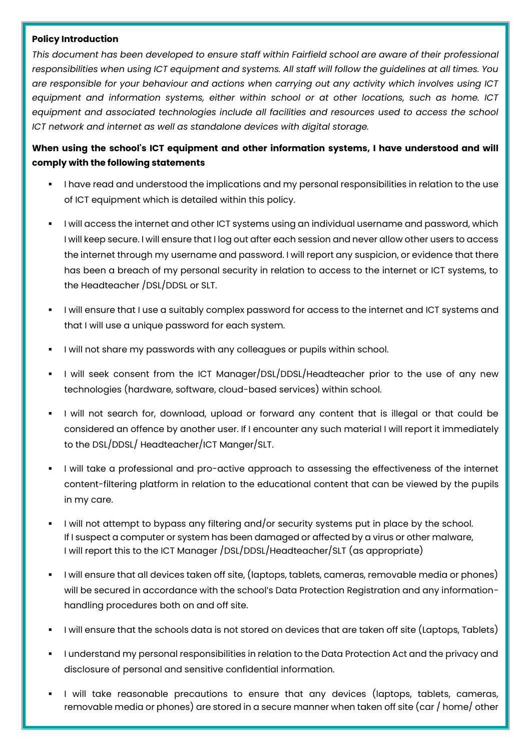#### **Policy Introduction**

*This document has been developed to ensure staff within Fairfield school are aware of their professional responsibilities when using ICT equipment and systems. All staff will follow the guidelines at all times. You are responsible for your behaviour and actions when carrying out any activity which involves using ICT equipment and information systems, either within school or at other locations, such as home. ICT equipment and associated technologies include all facilities and resources used to access the school ICT network and internet as well as standalone devices with digital storage.*

## **When using the school's ICT equipment and other information systems, I have understood and will comply with the following statements**

- I have read and understood the implications and my personal responsibilities in relation to the use of ICT equipment which is detailed within this policy.
- I will access the internet and other ICT systems using an individual username and password, which I will keep secure. I will ensure that I log out after each session and never allow other users to access the internet through my username and password. I will report any suspicion, or evidence that there has been a breach of my personal security in relation to access to the internet or ICT systems, to the Headteacher /DSL/DDSL or SLT.
- I will ensure that I use a suitably complex password for access to the internet and ICT systems and that I will use a unique password for each system.
- I will not share my passwords with any colleagues or pupils within school.
- I will seek consent from the ICT Manager/DSL/DDSL/Headteacher prior to the use of any new technologies (hardware, software, cloud-based services) within school.
- I will not search for, download, upload or forward any content that is illegal or that could be considered an offence by another user. If I encounter any such material I will report it immediately to the DSL/DDSL/ Headteacher/ICT Manger/SLT.
- I will take a professional and pro-active approach to assessing the effectiveness of the internet content-filtering platform in relation to the educational content that can be viewed by the pupils in my care.
- I will not attempt to bypass any filtering and/or security systems put in place by the school. If I suspect a computer or system has been damaged or affected by a virus or other malware, I will report this to the ICT Manager /DSL/DDSL/Headteacher/SLT (as appropriate)
- I will ensure that all devices taken off site, (laptops, tablets, cameras, removable media or phones) will be secured in accordance with the school's Data Protection Registration and any informationhandling procedures both on and off site.
- I will ensure that the schools data is not stored on devices that are taken off site (Laptops, Tablets)
- I understand my personal responsibilities in relation to the Data Protection Act and the privacy and disclosure of personal and sensitive confidential information.
- I will take reasonable precautions to ensure that any devices (laptops, tablets, cameras, removable media or phones) are stored in a secure manner when taken off site (car / home/ other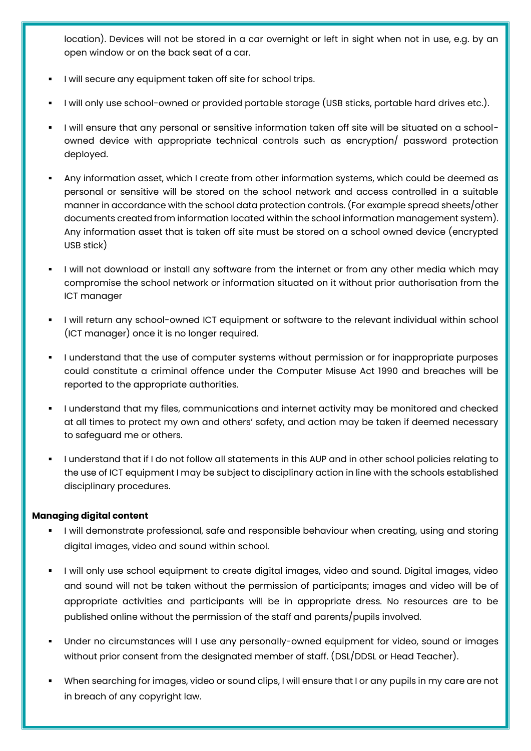location). Devices will not be stored in a car overnight or left in sight when not in use, e.g. by an open window or on the back seat of a car.

- I will secure any equipment taken off site for school trips.
- I will only use school-owned or provided portable storage (USB sticks, portable hard drives etc.).
- I will ensure that any personal or sensitive information taken off site will be situated on a schoolowned device with appropriate technical controls such as encryption/ password protection deployed.
- Any information asset, which I create from other information systems, which could be deemed as personal or sensitive will be stored on the school network and access controlled in a suitable manner in accordance with the school data protection controls. (For example spread sheets/other documents created from information located within the school information management system). Any information asset that is taken off site must be stored on a school owned device (encrypted USB stick)
- I will not download or install any software from the internet or from any other media which may compromise the school network or information situated on it without prior authorisation from the ICT manager
- I will return any school-owned ICT equipment or software to the relevant individual within school (ICT manager) once it is no longer required.
- I understand that the use of computer systems without permission or for inappropriate purposes could constitute a criminal offence under the Computer Misuse Act 1990 and breaches will be reported to the appropriate authorities.
- I understand that my files, communications and internet activity may be monitored and checked at all times to protect my own and others' safety, and action may be taken if deemed necessary to safeguard me or others.
- I understand that if I do not follow all statements in this AUP and in other school policies relating to the use of ICT equipment I may be subject to disciplinary action in line with the schools established disciplinary procedures.

### **Managing digital content**

- I will demonstrate professional, safe and responsible behaviour when creating, using and storing digital images, video and sound within school.
- I will only use school equipment to create digital images, video and sound. Digital images, video and sound will not be taken without the permission of participants; images and video will be of appropriate activities and participants will be in appropriate dress. No resources are to be published online without the permission of the staff and parents/pupils involved.
- Under no circumstances will I use any personally-owned equipment for video, sound or images without prior consent from the designated member of staff. (DSL/DDSL or Head Teacher).
- When searching for images, video or sound clips, I will ensure that I or any pupils in my care are not in breach of any copyright law.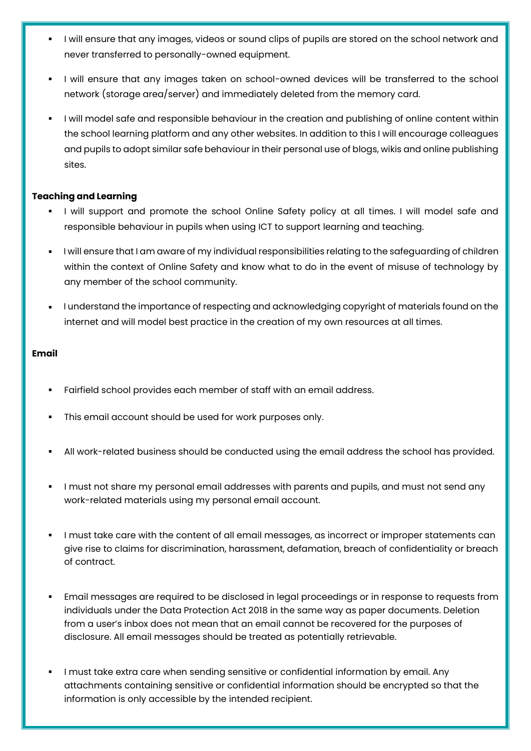- I will ensure that any images, videos or sound clips of pupils are stored on the school network and never transferred to personally-owned equipment.
- I will ensure that any images taken on school-owned devices will be transferred to the school network (storage area/server) and immediately deleted from the memory card.
- I will model safe and responsible behaviour in the creation and publishing of online content within the school learning platform and any other websites. In addition to this I will encourage colleagues and pupils to adopt similar safe behaviour in their personal use of blogs, wikis and online publishing sites.

## **Teaching and Learning**

- I will support and promote the school Online Safety policy at all times. I will model safe and responsible behaviour in pupils when using ICT to support learning and teaching.
- I will ensure that I am aware of my individual responsibilities relating to the safeguarding of children within the context of Online Safety and know what to do in the event of misuse of technology by any member of the school community.
- I understand the importance of respecting and acknowledging copyright of materials found on the internet and will model best practice in the creation of my own resources at all times.

## **Email**

- Fairfield school provides each member of staff with an email address.
- This email account should be used for work purposes only.
- All work-related business should be conducted using the email address the school has provided.
- I must not share my personal email addresses with parents and pupils, and must not send any work-related materials using my personal email account.
- I must take care with the content of all email messages, as incorrect or improper statements can give rise to claims for discrimination, harassment, defamation, breach of confidentiality or breach of contract.
- Email messages are required to be disclosed in legal proceedings or in response to requests from individuals under the Data Protection Act 2018 in the same way as paper documents. Deletion from a user's inbox does not mean that an email cannot be recovered for the purposes of disclosure. All email messages should be treated as potentially retrievable.
- I must take extra care when sending sensitive or confidential information by email. Any attachments containing sensitive or confidential information should be encrypted so that the information is only accessible by the intended recipient.